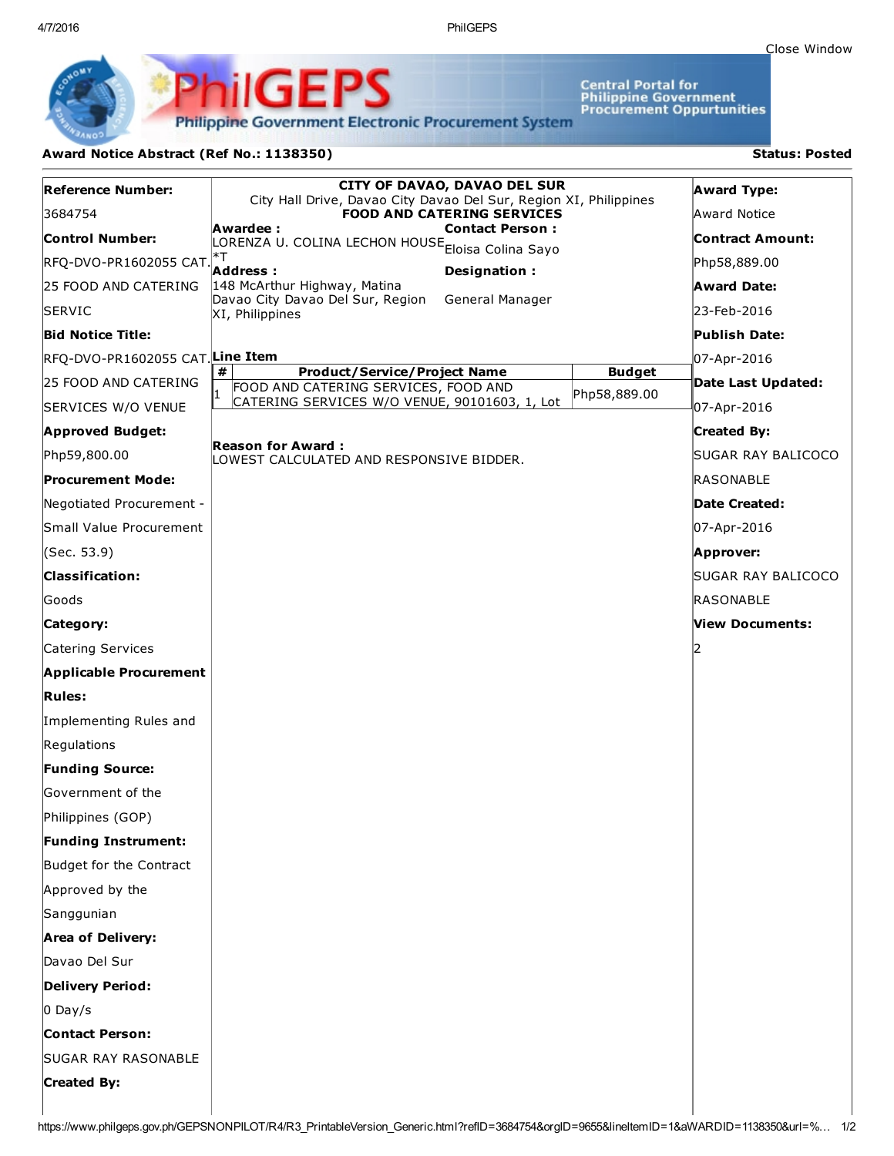4/7/2016 PhilGEPS

Central Portal for<br>Philippine Government<br>Procurement Oppurtunities

**Philippine Government Electronic Procurement System** 

PS

## Award Notice Abstract (Ref No.: 1138350) Status: Posted

PhilGEI

| <b>Reference Number:</b>        | <b>CITY OF DAVAO, DAVAO DEL SUR</b><br>City Hall Drive, Davao City Davao Del Sur, Region XI, Philippines |               | <b>Award Type:</b>   |
|---------------------------------|----------------------------------------------------------------------------------------------------------|---------------|----------------------|
| 3684754                         | <b>FOOD AND CATERING SERVICES</b>                                                                        |               | Award Notice         |
| <b>Control Number:</b>          | Awardee :<br><b>Contact Person:</b><br>LORENZA U. COLINA LECHON HOUSE <sub>Eloisa</sub> Colina Sayo      |               | Contract Amount:     |
| RFQ-DVO-PR1602055 CAT.          | *T<br>Address:<br>Designation:                                                                           |               | Php58,889.00         |
| 25 FOOD AND CATERING            | 148 McArthur Highway, Matina                                                                             |               | <b>Award Date:</b>   |
| <b>SERVIC</b>                   | Davao City Davao Del Sur, Region<br>General Manager<br>XI, Philippines                                   |               | 23-Feb-2016          |
| <b>Bid Notice Title:</b>        |                                                                                                          |               | Publish Date:        |
| RFQ-DVO-PR1602055 CAT Line Item |                                                                                                          |               | 07-Apr-2016          |
| 25 FOOD AND CATERING            | #<br><b>Product/Service/Project Name</b><br>FOOD AND CATERING SERVICES, FOOD AND                         | <b>Budget</b> | Date Last Updated:   |
| SERVICES W/O VENUE              | CATERING SERVICES W/O VENUE, 90101603, 1, Lot                                                            | Php58,889.00  | 07-Apr-2016          |
| <b>Approved Budget:</b>         |                                                                                                          |               | <b>Created By:</b>   |
| Php59,800.00                    | <b>Reason for Award:</b><br>LOWEST CALCULATED AND RESPONSIVE BIDDER.                                     |               | SUGAR RAY BALICOCO   |
| <b>Procurement Mode:</b>        |                                                                                                          |               | RASONABLE            |
| Negotiated Procurement -        |                                                                                                          |               | <b>Date Created:</b> |
| Small Value Procurement         |                                                                                                          |               | 07-Apr-2016          |
| (Sec. 53.9)                     |                                                                                                          |               | Approver:            |
| <b>Classification:</b>          |                                                                                                          |               | SUGAR RAY BALICOCO   |
| Goods                           |                                                                                                          |               | RASONABLE            |
| Category:                       |                                                                                                          |               | View Documents:      |
| Catering Services               |                                                                                                          |               |                      |
| <b>Applicable Procurement</b>   |                                                                                                          |               |                      |
| <b>Rules:</b>                   |                                                                                                          |               |                      |
| Implementing Rules and          |                                                                                                          |               |                      |
| Regulations                     |                                                                                                          |               |                      |
| <b>Funding Source:</b>          |                                                                                                          |               |                      |
| <b>Government of the</b>        |                                                                                                          |               |                      |
| Philippines (GOP)               |                                                                                                          |               |                      |
| <b>Funding Instrument:</b>      |                                                                                                          |               |                      |
| Budget for the Contract         |                                                                                                          |               |                      |
| Approved by the                 |                                                                                                          |               |                      |
| Sanggunian                      |                                                                                                          |               |                      |
| <b>Area of Delivery:</b>        |                                                                                                          |               |                      |
| Davao Del Sur                   |                                                                                                          |               |                      |
| <b>Delivery Period:</b>         |                                                                                                          |               |                      |
| $0$ Day/s                       |                                                                                                          |               |                      |
| <b>Contact Person:</b>          |                                                                                                          |               |                      |
| <b>SUGAR RAY RASONABLE</b>      |                                                                                                          |               |                      |
| <b>Created By:</b>              |                                                                                                          |               |                      |
|                                 |                                                                                                          |               |                      |